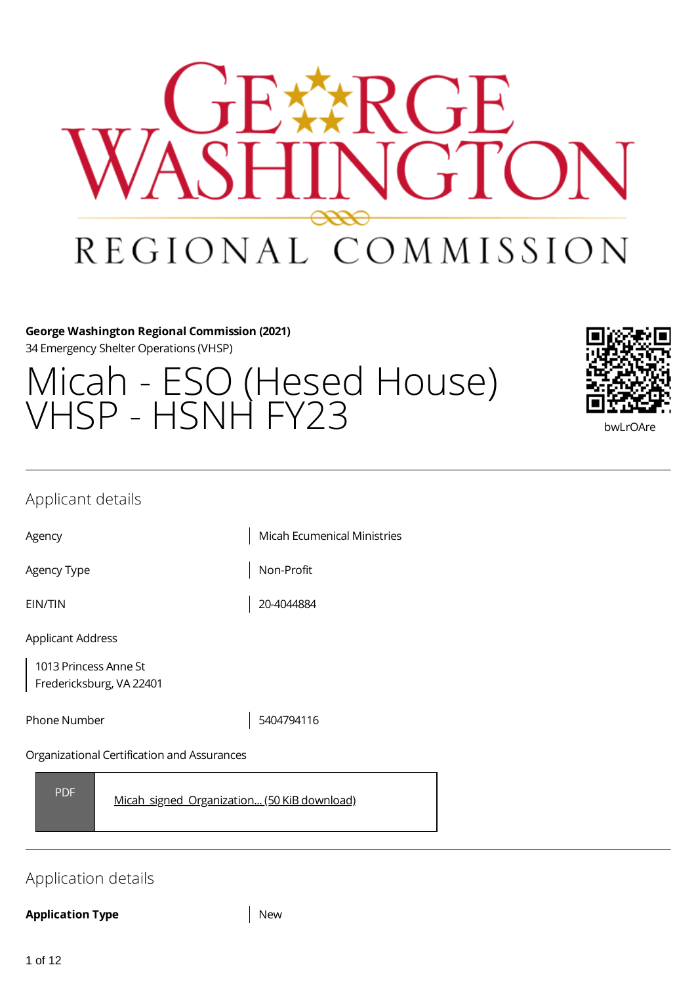# ?CF ヾጟ゙゙  $\Gamma$   $\Gamma$ REGIONAL COMMISSION

#### **George Washington Regional Commission (2021)**

34 Emergency Shelter Operations (VHSP)

# Micah - ESO (Hesed House) VHSP – HSNH FY23 bwlroare



### Applicant details

Agency **Micah Ecumenical Ministries** 

Agency Type  $\vert$  Non-Profit

EIN/TIN 20-4044884

Applicant Address

1013 Princess Anne St Fredericksburg, VA 22401

Phone Number 1990 1201 13404794116

#### Organizational Certification and Assurances

PDF [Micah\\_signed\\_Organization...](https://gwregion.grantplatform.com/r/file/S9FrTyobudSGRtoc) (50 KiB download)

# Application details

#### **Application Type** New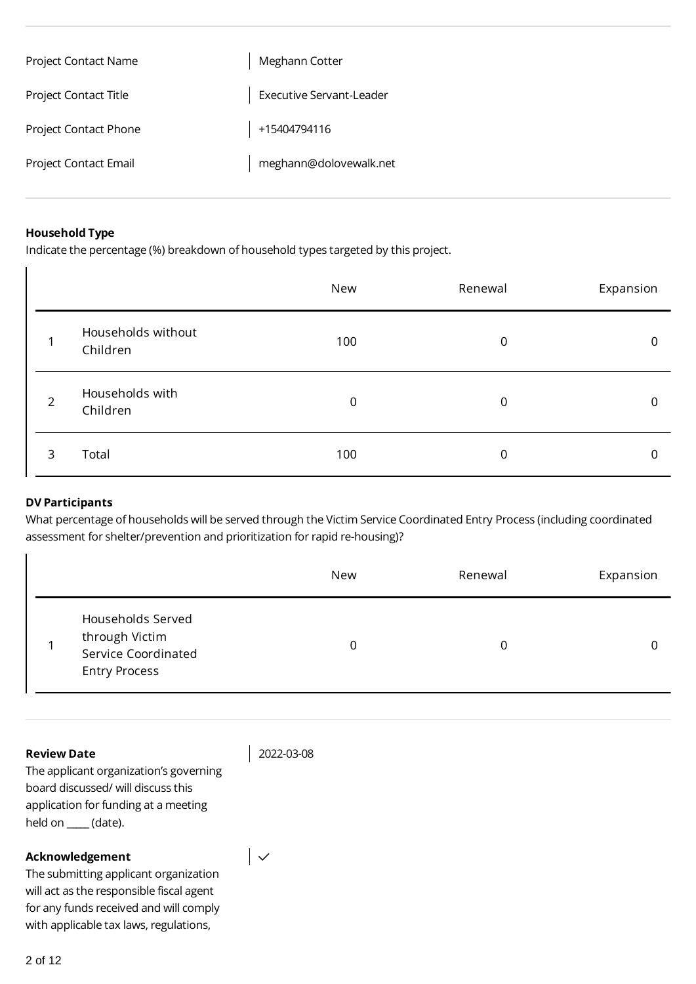| Project Contact Name         | Meghann Cotter                  |
|------------------------------|---------------------------------|
| Project Contact Title        | <b>Executive Servant-Leader</b> |
| <b>Project Contact Phone</b> | +15404794116                    |
| <b>Project Contact Email</b> | meghann@dolovewalk.net          |

#### **Household Type**

Indicate the percentage (%) breakdown of household types targeted by this project.

|                |                                | New | Renewal        | Expansion |
|----------------|--------------------------------|-----|----------------|-----------|
|                | Households without<br>Children | 100 | $\overline{0}$ | 0         |
| $\overline{2}$ | Households with<br>Children    | 0   | $\mathbf 0$    | 0         |
| 3              | Total                          | 100 | 0              | 0         |

#### **DV Participants**

What percentage of households will be served through the Victim Service Coordinated Entry Process (including coordinated assessment for shelter/prevention and prioritization for rapid re-housing)?

|                                                                                    | New | Renewal | Expansion |
|------------------------------------------------------------------------------------|-----|---------|-----------|
| Households Served<br>through Victim<br>Service Coordinated<br><b>Entry Process</b> | 0   |         |           |

#### **Review Date**

2022-03-08

 $\vert \downarrow$ 

The applicant organization's governing board discussed/ will discuss this application for funding at a meeting held on \_**\_\_\_\_** (date).

#### **Acknowledgement**

The submitting applicant organization will act as the responsible fiscal agent for any funds received and will comply with applicable tax laws, regulations,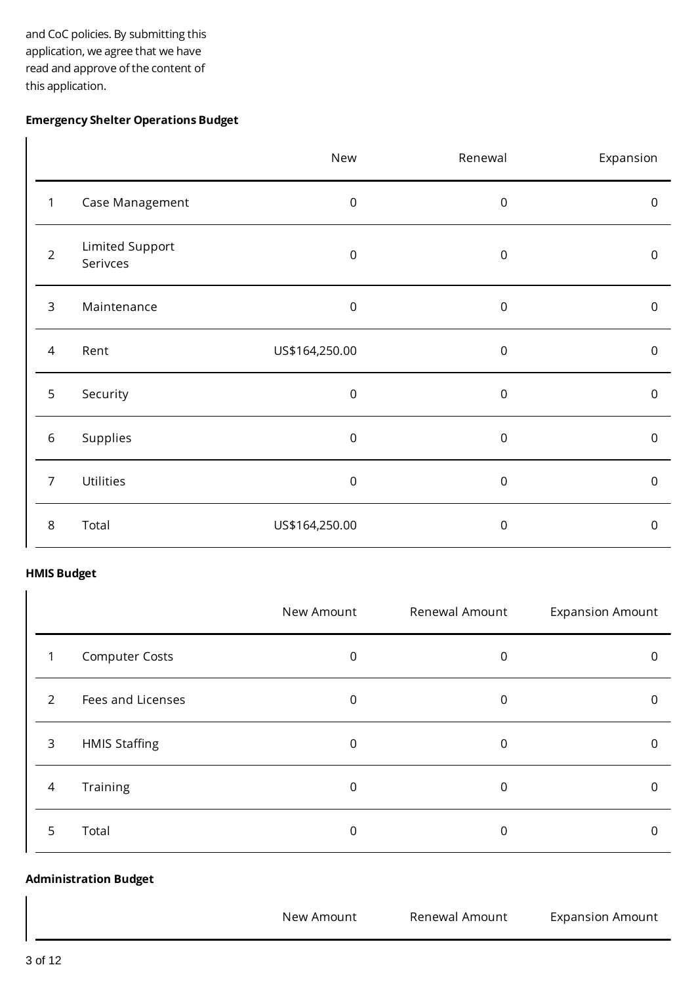and CoC policies. By submitting this application, we agree that we have read and approve of the content of this application.

#### **Emergency Shelter Operations Budget**

|                |                             | New            | Renewal          | Expansion           |
|----------------|-----------------------------|----------------|------------------|---------------------|
| $\mathbf{1}$   | Case Management             | $\mathbf 0$    | $\mathsf 0$      | $\mathsf{O}\xspace$ |
| $\overline{2}$ | Limited Support<br>Serivces | $\,0\,$        | $\mathbf 0$      | $\mathsf{O}\xspace$ |
| $\overline{3}$ | Maintenance                 | $\,0\,$        | $\mathbf 0$      | $\mathsf{O}\xspace$ |
| 4              | Rent                        | US\$164,250.00 | $\boldsymbol{0}$ | $\boldsymbol{0}$    |
| 5              | Security                    | $\,0\,$        | $\mathbf 0$      | $\mathsf{O}\xspace$ |
| $\,$ 6 $\,$    | Supplies                    | $\mathbf 0$    | $\mathsf 0$      | $\mathsf{O}\xspace$ |
| $\overline{7}$ | Utilities                   | $\mathbf 0$    | $\mathsf 0$      | $\mathsf{O}\xspace$ |
| $\,8\,$        | Total                       | US\$164,250.00 | $\mathbf 0$      | $\boldsymbol{0}$    |

#### **HMIS Budget**

 $\overline{1}$ 

|               |                       | New Amount | Renewal Amount | <b>Expansion Amount</b> |
|---------------|-----------------------|------------|----------------|-------------------------|
| 1             | <b>Computer Costs</b> | 0          | 0              |                         |
| $\mathcal{P}$ | Fees and Licenses     | 0          | 0              |                         |
| 3             | <b>HMIS Staffing</b>  | 0          | 0              |                         |
| 4             | Training              | 0          | 0              |                         |
| 5             | Total                 | 0          | 0              |                         |

#### **Administration Budget**

New Amount Renewal Amount Expansion Amount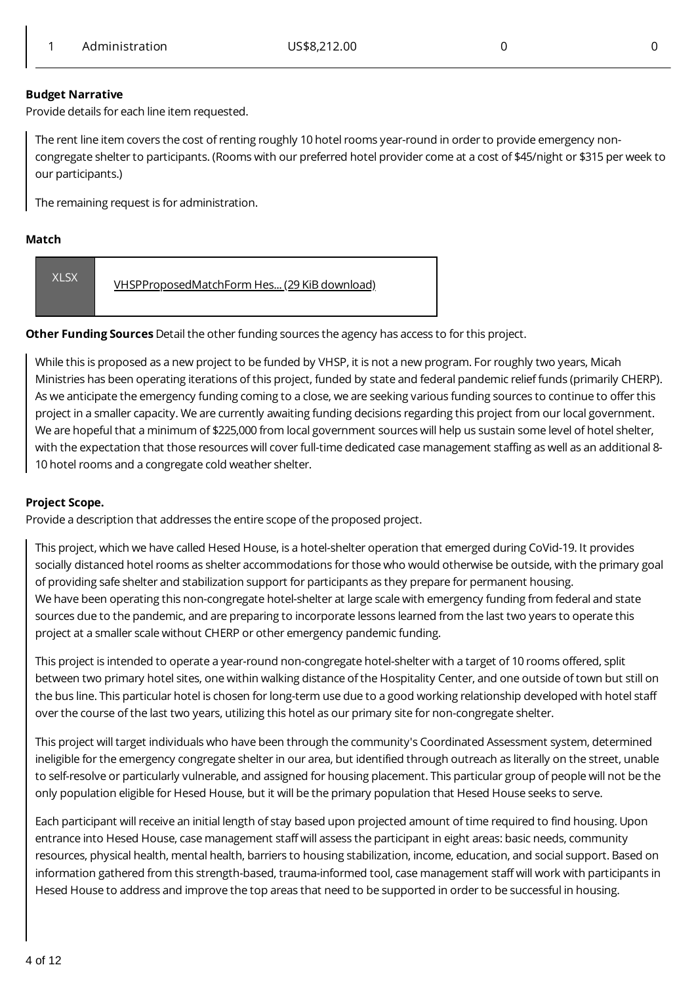#### **Budget Narrative**

Provide details for each line item requested.

The rent line item covers the cost of renting roughly 10 hotel rooms year-round in order to provide emergency noncongregate shelter to participants. (Rooms with our preferred hotel provider come at a cost of \$45/night or \$315 per week to our participants.)

The remaining request is for administration.

#### **Match**

| <b>XLSX</b> | VHSPProposedMatchForm Hes (29 KiB download) |
|-------------|---------------------------------------------|
|             |                                             |

**Other Funding Sources** Detail the other funding sources the agency has access to for this project.

While this is proposed as a new project to be funded by VHSP, it is not a new program. For roughly two years, Micah Ministries has been operating iterations of this project, funded by state and federal pandemic relief funds (primarily CHERP). As we anticipate the emergency funding coming to a close, we are seeking various funding sources to continue to offer this project in a smaller capacity. We are currently awaiting funding decisions regarding this project from our local government. We are hopeful that a minimum of \$225,000 from local government sources will help us sustain some level of hotel shelter, with the expectation that those resources will cover full-time dedicated case management staffing as well as an additional 8- 10 hotel rooms and a congregate cold weather shelter.

#### **Project Scope.**

Provide a description that addresses the entire scope of the proposed project.

This project, which we have called Hesed House, is a hotel-shelter operation that emerged during CoVid-19. It provides socially distanced hotel rooms as shelter accommodations for those who would otherwise be outside, with the primary goal of providing safe shelter and stabilization support for participants as they prepare for permanent housing. We have been operating this non-congregate hotel-shelter at large scale with emergency funding from federal and state sources due to the pandemic, and are preparing to incorporate lessons learned from the last two years to operate this project at a smaller scale without CHERP or other emergency pandemic funding.

This project is intended to operate a year-round non-congregate hotel-shelter with a target of 10 rooms offered, split between two primary hotel sites, one within walking distance of the Hospitality Center, and one outside of town but still on the bus line. This particular hotel is chosen for long-term use due to a good working relationship developed with hotel staff over the course of the last two years, utilizing this hotel as our primary site for non-congregate shelter.

This project will target individuals who have been through the community's Coordinated Assessment system, determined ineligible for the emergency congregate shelter in our area, but identified through outreach as literally on the street, unable to self-resolve or particularly vulnerable, and assigned for housing placement. This particular group of people will not be the only population eligible for Hesed House, but it will be the primary population that Hesed House seeks to serve.

Each participant will receive an initial length of stay based upon projected amount of time required to find housing. Upon entrance into Hesed House, case management staff will assess the participant in eight areas: basic needs, community resources, physical health, mental health, barriers to housing stabilization, income, education, and social support. Based on information gathered from this strength-based, trauma-informed tool, case management staff will work with participants in Hesed House to address and improve the top areas that need to be supported in order to be successful in housing.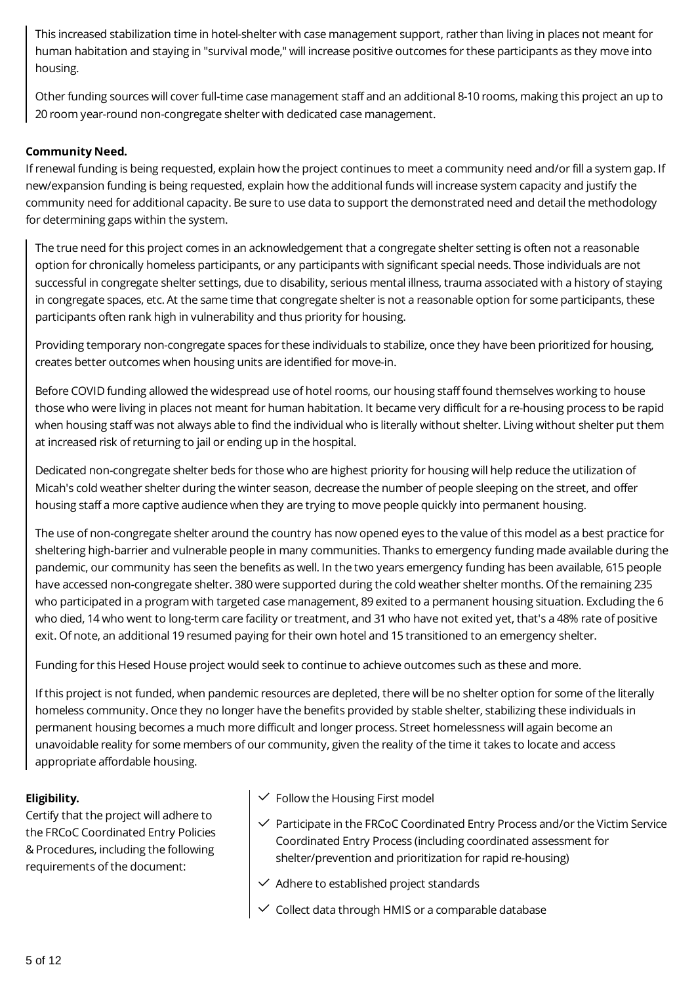This increased stabilization time in hotel-shelter with case management support, rather than living in places not meant for human habitation and staying in "survival mode," will increase positive outcomes for these participants as they move into housing.

Other funding sources will cover full-time case management staff and an additional 8-10 rooms, making this project an up to 20 room year-round non-congregate shelter with dedicated case management.

#### **Community Need.**

If renewal funding is being requested, explain how the project continues to meet a community need and/or fill a system gap. If new/expansion funding is being requested, explain how the additional funds will increase system capacity and justify the community need for additional capacity. Be sure to use data to support the demonstrated need and detail the methodology for determining gaps within the system.

The true need for this project comes in an acknowledgement that a congregate shelter setting is often not a reasonable option for chronically homeless participants, or any participants with significant special needs. Those individuals are not successful in congregate shelter settings, due to disability, serious mental illness, trauma associated with a history of staying in congregate spaces, etc. At the same time that congregate shelter is not a reasonable option for some participants, these participants often rank high in vulnerability and thus priority for housing.

Providing temporary non-congregate spaces for these individuals to stabilize, once they have been prioritized for housing, creates better outcomes when housing units are identified for move-in.

Before COVID funding allowed the widespread use of hotel rooms, our housing staff found themselves working to house those who were living in places not meant for human habitation. It became very difficult for a re-housing process to be rapid when housing staff was not always able to find the individual who is literally without shelter. Living without shelter put them at increased risk of returning to jail or ending up in the hospital.

Dedicated non-congregate shelter beds for those who are highest priority for housing will help reduce the utilization of Micah's cold weather shelter during the winter season, decrease the number of people sleeping on the street, and offer housing staff a more captive audience when they are trying to move people quickly into permanent housing.

The use of non-congregate shelter around the country has now opened eyes to the value of this model as a best practice for sheltering high-barrier and vulnerable people in many communities. Thanks to emergency funding made available during the pandemic, our community has seen the benefits as well. In the two years emergency funding has been available, 615 people have accessed non-congregate shelter. 380 were supported during the cold weather shelter months. Of the remaining 235 who participated in a program with targeted case management, 89 exited to a permanent housing situation. Excluding the 6 who died, 14 who went to long-term care facility or treatment, and 31 who have not exited yet, that's a 48% rate of positive exit. Of note, an additional 19 resumed paying for their own hotel and 15 transitioned to an emergency shelter.

Funding for this Hesed House project would seek to continue to achieve outcomes such as these and more.

If this project is not funded, when pandemic resources are depleted, there will be no shelter option for some of the literally homeless community. Once they no longer have the benefits provided by stable shelter, stabilizing these individuals in permanent housing becomes a much more difficult and longer process. Street homelessness will again become an unavoidable reality for some members of our community, given the reality of the time it takes to locate and access appropriate affordable housing.

#### **Eligibility.**

Certify that the project will adhere to the FRCoC Coordinated Entry Policies & Procedures, including the following requirements of the document:

- $\checkmark$  Follow the Housing First model
- $\checkmark$  Participate in the FRCoC Coordinated Entry Process and/or the Victim Service Coordinated Entry Process (including coordinated assessment for shelter/prevention and prioritization for rapid re-housing)
- $\vee$  Adhere to established project standards
- $\vee$  Collect data through HMIS or a comparable database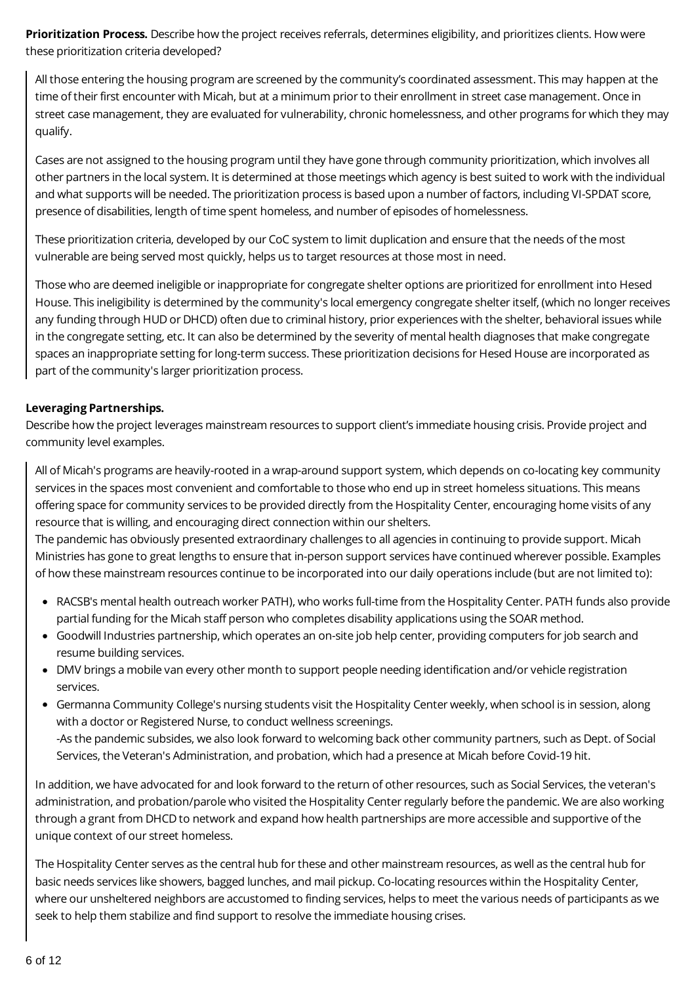**Prioritization Process.** Describe how the project receives referrals, determines eligibility, and prioritizes clients. How were these prioritization criteria developed?

All those entering the housing program are screened by the community's coordinated assessment. This may happen at the time of their first encounter with Micah, but at a minimum prior to their enrollment in street case management. Once in street case management, they are evaluated for vulnerability, chronic homelessness, and other programs for which they may qualify.

Cases are not assigned to the housing program until they have gone through community prioritization, which involves all other partners in the local system. It is determined at those meetings which agency is best suited to work with the individual and what supports will be needed. The prioritization process is based upon a number of factors, including VI-SPDAT score, presence of disabilities, length of time spent homeless, and number of episodes of homelessness.

These prioritization criteria, developed by our CoC system to limit duplication and ensure that the needs of the most vulnerable are being served most quickly, helps us to target resources at those most in need.

Those who are deemed ineligible or inappropriate for congregate shelter options are prioritized for enrollment into Hesed House. This ineligibility is determined by the community's local emergency congregate shelter itself, (which no longer receives any funding through HUD or DHCD) often due to criminal history, prior experiences with the shelter, behavioral issues while in the congregate setting, etc. It can also be determined by the severity of mental health diagnoses that make congregate spaces an inappropriate setting for long-term success. These prioritization decisions for Hesed House are incorporated as part of the community's larger prioritization process.

#### **Leveraging Partnerships.**

Describe how the project leverages mainstream resources to support client's immediate housing crisis. Provide project and community level examples.

All of Micah's programs are heavily-rooted in a wrap-around support system, which depends on co-locating key community services in the spaces most convenient and comfortable to those who end up in street homeless situations. This means offering space for community services to be provided directly from the Hospitality Center, encouraging home visits of any resource that is willing, and encouraging direct connection within our shelters.

The pandemic has obviously presented extraordinary challenges to all agencies in continuing to provide support. Micah Ministries has gone to great lengths to ensure that in-person support services have continued wherever possible. Examples of how these mainstream resources continue to be incorporated into our daily operations include (but are not limited to):

- RACSB's mental health outreach worker PATH), who works full-time from the Hospitality Center. PATH funds also provide partial funding for the Micah staff person who completes disability applications using the SOAR method.
- Goodwill Industries partnership, which operates an on-site job help center, providing computers for job search and resume building services.
- DMV brings a mobile van every other month to support people needing identification and/or vehicle registration services.
- Germanna Community College's nursing students visit the Hospitality Center weekly, when school is in session, along with a doctor or Registered Nurse, to conduct wellness screenings. -As the pandemic subsides, we also look forward to welcoming back other community partners, such as Dept. of Social Services, the Veteran's Administration, and probation, which had a presence at Micah before Covid-19 hit.

In addition, we have advocated for and look forward to the return of other resources, such as Social Services, the veteran's administration, and probation/parole who visited the Hospitality Center regularly before the pandemic. We are also working through a grant from DHCD to network and expand how health partnerships are more accessible and supportive of the unique context of our street homeless.

The Hospitality Center serves as the central hub for these and other mainstream resources, as well as the central hub for basic needs services like showers, bagged lunches, and mail pickup. Co-locating resources within the Hospitality Center, where our unsheltered neighbors are accustomed to finding services, helps to meet the various needs of participants as we seek to help them stabilize and find support to resolve the immediate housing crises.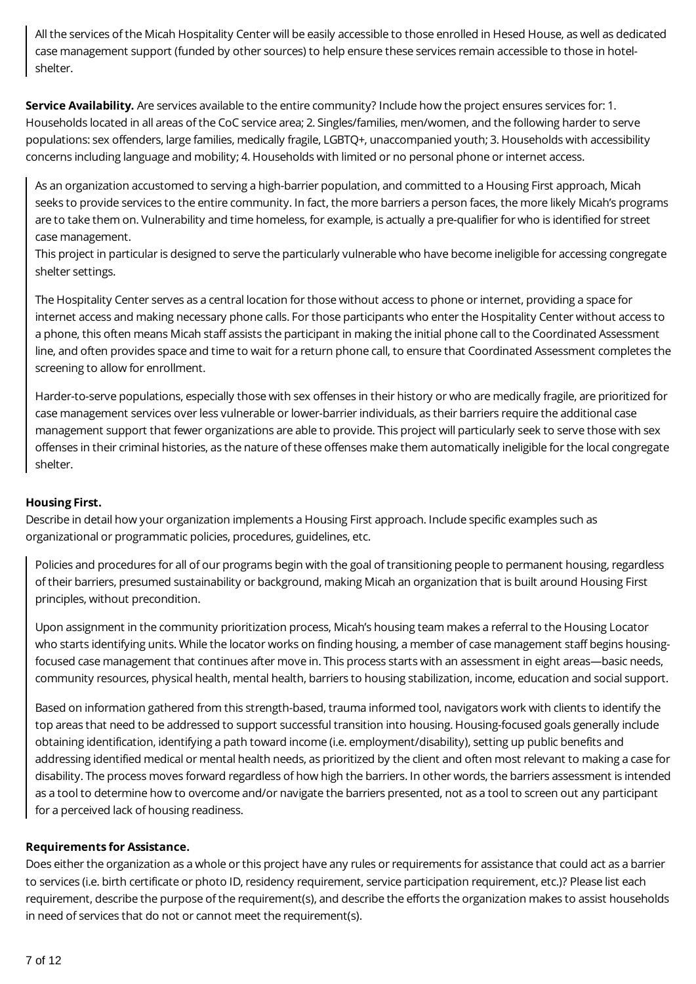All the services of the Micah Hospitality Center will be easily accessible to those enrolled in Hesed House, as well as dedicated case management support (funded by other sources) to help ensure these services remain accessible to those in hotelshelter.

**Service Availability.** Are services available to the entire community? Include how the project ensures services for: 1. Households located in all areas of the CoC service area; 2. Singles/families, men/women, and the following harder to serve populations: sex offenders, large families, medically fragile, LGBTQ+, unaccompanied youth; 3. Households with accessibility concerns including language and mobility; 4. Households with limited or no personal phone or internet access.

As an organization accustomed to serving a high-barrier population, and committed to a Housing First approach, Micah seeks to provide services to the entire community. In fact, the more barriers a person faces, the more likely Micah's programs are to take them on. Vulnerability and time homeless, for example, is actually a pre-qualifier for who is identified for street case management.

This project in particular is designed to serve the particularly vulnerable who have become ineligible for accessing congregate shelter settings.

The Hospitality Center serves as a central location for those without access to phone or internet, providing a space for internet access and making necessary phone calls. For those participants who enter the Hospitality Center without access to a phone, this often means Micah staff assists the participant in making the initial phone call to the Coordinated Assessment line, and often provides space and time to wait for a return phone call, to ensure that Coordinated Assessment completes the screening to allow for enrollment.

Harder-to-serve populations, especially those with sex offenses in their history or who are medically fragile, are prioritized for case management services over less vulnerable or lower-barrier individuals, as their barriers require the additional case management support that fewer organizations are able to provide. This project will particularly seek to serve those with sex offenses in their criminal histories, as the nature of these offenses make them automatically ineligible for the local congregate shelter.

#### **Housing First.**

Describe in detail how your organization implements a Housing First approach. Include specific examples such as organizational or programmatic policies, procedures, guidelines, etc.

Policies and procedures for all of our programs begin with the goal of transitioning people to permanent housing, regardless of their barriers, presumed sustainability or background, making Micah an organization that is built around Housing First principles, without precondition.

Upon assignment in the community prioritization process, Micah's housing team makes a referral to the Housing Locator who starts identifying units. While the locator works on finding housing, a member of case management staff begins housingfocused case management that continues after move in. This process starts with an assessment in eight areas—basic needs, community resources, physical health, mental health, barriers to housing stabilization, income, education and social support.

Based on information gathered from this strength-based, trauma informed tool, navigators work with clients to identify the top areas that need to be addressed to support successful transition into housing. Housing-focused goals generally include obtaining identification, identifying a path toward income (i.e. employment/disability), setting up public benefits and addressing identified medical or mental health needs, as prioritized by the client and often most relevant to making a case for disability. The process moves forward regardless of how high the barriers. In other words, the barriers assessment is intended as a tool to determine how to overcome and/or navigate the barriers presented, not as a tool to screen out any participant for a perceived lack of housing readiness.

#### **Requirements for Assistance.**

Does either the organization as a whole or this project have any rules or requirements for assistance that could act as a barrier to services (i.e. birth certificate or photo ID, residency requirement, service participation requirement, etc.)? Please list each requirement, describe the purpose of the requirement(s), and describe the efforts the organization makes to assist households in need of services that do not or cannot meet the requirement(s).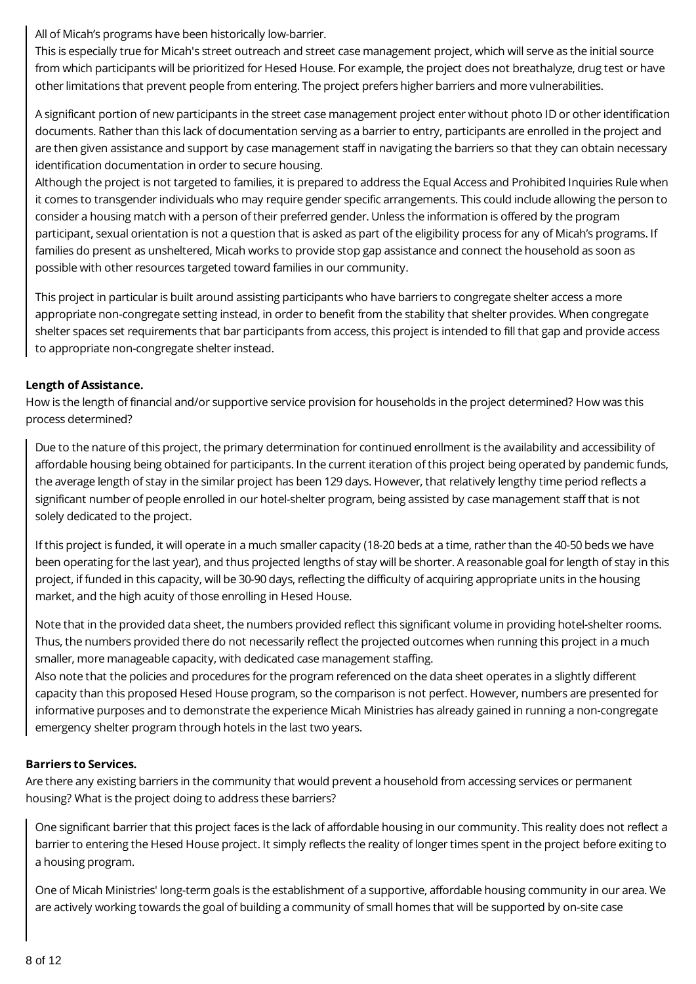All of Micah's programs have been historically low-barrier.

This is especially true for Micah's street outreach and street case management project, which will serve as the initial source from which participants will be prioritized for Hesed House. For example, the project does not breathalyze, drug test or have other limitations that prevent people from entering. The project prefers higher barriers and more vulnerabilities.

A significant portion of new participants in the street case management project enter without photo ID or other identification documents. Rather than this lack of documentation serving as a barrier to entry, participants are enrolled in the project and are then given assistance and support by case management staff in navigating the barriers so that they can obtain necessary identification documentation in order to secure housing.

Although the project is not targeted to families, it is prepared to address the Equal Access and Prohibited Inquiries Rule when it comes to transgender individuals who may require gender specific arrangements. This could include allowing the person to consider a housing match with a person of their preferred gender. Unless the information is offered by the program participant, sexual orientation is not a question that is asked as part of the eligibility process for any of Micah's programs. If families do present as unsheltered, Micah works to provide stop gap assistance and connect the household as soon as possible with other resources targeted toward families in our community.

This project in particular is built around assisting participants who have barriers to congregate shelter access a more appropriate non-congregate setting instead, in order to benefit from the stability that shelter provides. When congregate shelter spaces set requirements that bar participants from access, this project is intended to fill that gap and provide access to appropriate non-congregate shelter instead.

#### **Length of Assistance.**

How is the length of financial and/or supportive service provision for households in the project determined? How was this process determined?

Due to the nature of this project, the primary determination for continued enrollment is the availability and accessibility of affordable housing being obtained for participants. In the current iteration of this project being operated by pandemic funds, the average length of stay in the similar project has been 129 days. However, that relatively lengthy time period reflects a significant number of people enrolled in our hotel-shelter program, being assisted by case management staff that is not solely dedicated to the project.

If this project is funded, it will operate in a much smaller capacity (18-20 beds at a time, rather than the 40-50 beds we have been operating for the last year), and thus projected lengths of stay will be shorter. A reasonable goal for length of stay in this project, if funded in this capacity, will be 30-90 days, reflecting the difficulty of acquiring appropriate units in the housing market, and the high acuity of those enrolling in Hesed House.

Note that in the provided data sheet, the numbers provided reflect this significant volume in providing hotel-shelter rooms. Thus, the numbers provided there do not necessarily reflect the projected outcomes when running this project in a much smaller, more manageable capacity, with dedicated case management staffing.

Also note that the policies and procedures for the program referenced on the data sheet operates in a slightly different capacity than this proposed Hesed House program, so the comparison is not perfect. However, numbers are presented for informative purposes and to demonstrate the experience Micah Ministries has already gained in running a non-congregate emergency shelter program through hotels in the last two years.

#### **Barriers to Services.**

Are there any existing barriers in the community that would prevent a household from accessing services or permanent housing? What is the project doing to address these barriers?

One significant barrier that this project faces is the lack of affordable housing in our community. This reality does not reflect a barrier to entering the Hesed House project. It simply reflects the reality of longer times spent in the project before exiting to a housing program.

One of Micah Ministries' long-term goals is the establishment of a supportive, affordable housing community in our area. We are actively working towards the goal of building a community of small homes that will be supported by on-site case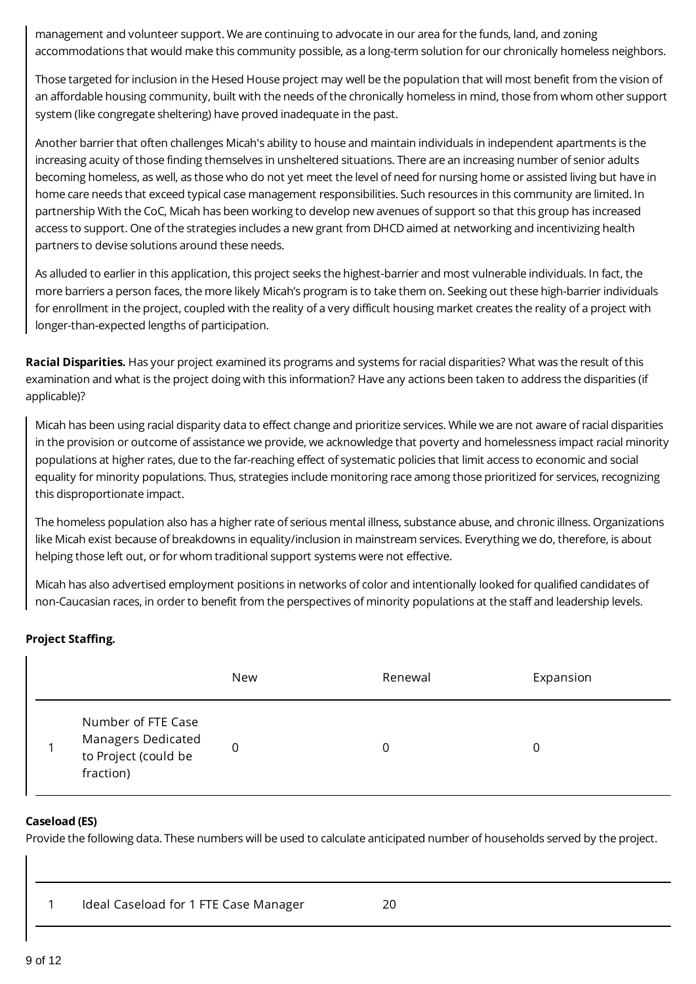management and volunteer support. We are continuing to advocate in our area for the funds, land, and zoning accommodations that would make this community possible, as a long-term solution for our chronically homeless neighbors.

Those targeted for inclusion in the Hesed House project may well be the population that will most benefit from the vision of an affordable housing community, built with the needs of the chronically homeless in mind, those from whom other support system (like congregate sheltering) have proved inadequate in the past.

Another barrier that often challenges Micah's ability to house and maintain individuals in independent apartments is the increasing acuity of those finding themselves in unsheltered situations. There are an increasing number of senior adults becoming homeless, as well, as those who do not yet meet the level of need for nursing home or assisted living but have in home care needs that exceed typical case management responsibilities. Such resources in this community are limited. In partnership With the CoC, Micah has been working to develop new avenues of support so that this group has increased access to support. One of the strategies includes a new grant from DHCD aimed at networking and incentivizing health partners to devise solutions around these needs.

As alluded to earlier in this application, this project seeks the highest-barrier and most vulnerable individuals. In fact, the more barriers a person faces, the more likely Micah's program is to take them on. Seeking out these high-barrier individuals for enrollment in the project, coupled with the reality of a very difficult housing market creates the reality of a project with longer-than-expected lengths of participation.

**Racial Disparities.** Has your project examined its programs and systems for racial disparities? What was the result of this examination and what is the project doing with this information? Have any actions been taken to address the disparities (if applicable)?

Micah has been using racial disparity data to effect change and prioritize services. While we are not aware of racial disparities in the provision or outcome of assistance we provide, we acknowledge that poverty and homelessness impact racial minority populations at higher rates, due to the far-reaching effect of systematic policies that limit access to economic and social equality for minority populations. Thus, strategies include monitoring race among those prioritized for services, recognizing this disproportionate impact.

The homeless population also has a higher rate of serious mental illness, substance abuse, and chronic illness. Organizations like Micah exist because of breakdowns in equality/inclusion in mainstream services. Everything we do, therefore, is about helping those left out, or for whom traditional support systems were not effective.

Micah has also advertised employment positions in networks of color and intentionally looked for qualified candidates of non-Caucasian races, in order to benefit from the perspectives of minority populations at the staff and leadership levels.

#### **Project Staffing.**

|                                                                               | New | Renewal | Expansion |
|-------------------------------------------------------------------------------|-----|---------|-----------|
| Number of FTE Case<br>Managers Dedicated<br>to Project (could be<br>fraction) | 0   | 0       | 0         |

#### **Caseload (ES)**

Provide the following data. These numbers will be used to calculate anticipated number of households served by the project.

|  | Ideal Caseload for 1 FTE Case Manager | 20 |
|--|---------------------------------------|----|
|--|---------------------------------------|----|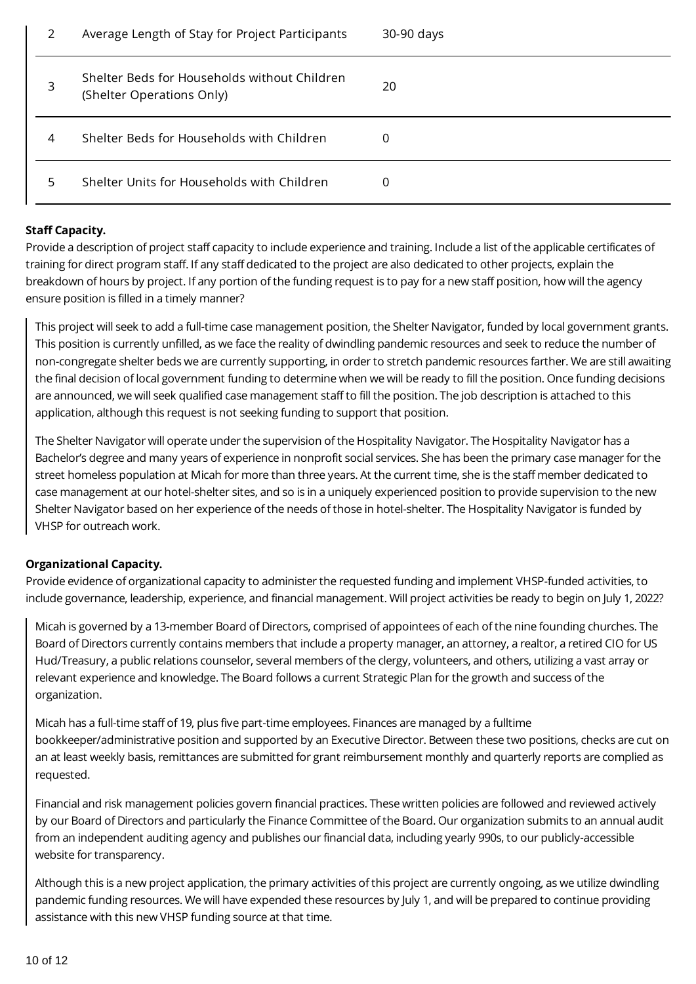| 2 | Average Length of Stay for Project Participants                           | 30-90 days |
|---|---------------------------------------------------------------------------|------------|
| 3 | Shelter Beds for Households without Children<br>(Shelter Operations Only) | 20         |
| 4 | Shelter Beds for Households with Children                                 | 0          |
| 5 | Shelter Units for Households with Children                                | Ω          |

#### **Staff Capacity.**

Provide a description of project staff capacity to include experience and training. Include a list of the applicable certificates of training for direct program staff. If any staff dedicated to the project are also dedicated to other projects, explain the breakdown of hours by project. If any portion of the funding request is to pay for a new staff position, how will the agency ensure position is filled in a timely manner?

This project will seek to add a full-time case management position, the Shelter Navigator, funded by local government grants. This position is currently unfilled, as we face the reality of dwindling pandemic resources and seek to reduce the number of non-congregate shelter beds we are currently supporting, in order to stretch pandemic resources farther. We are still awaiting the final decision of local government funding to determine when we will be ready to fill the position. Once funding decisions are announced, we will seek qualified case management staff to fill the position. The job description is attached to this application, although this request is not seeking funding to support that position.

The Shelter Navigator will operate under the supervision of the Hospitality Navigator. The Hospitality Navigator has a Bachelor's degree and many years of experience in nonprofit social services. She has been the primary case manager for the street homeless population at Micah for more than three years. At the current time, she is the staff member dedicated to case management at our hotel-shelter sites, and so is in a uniquely experienced position to provide supervision to the new Shelter Navigator based on her experience of the needs of those in hotel-shelter. The Hospitality Navigator is funded by VHSP for outreach work.

#### **Organizational Capacity.**

Provide evidence of organizational capacity to administer the requested funding and implement VHSP-funded activities, to include governance, leadership, experience, and financial management. Will project activities be ready to begin on July 1, 2022?

Micah is governed by a 13-member Board of Directors, comprised of appointees of each of the nine founding churches. The Board of Directors currently contains members that include a property manager, an attorney, a realtor, a retired CIO for US Hud/Treasury, a public relations counselor, several members of the clergy, volunteers, and others, utilizing a vast array or relevant experience and knowledge. The Board follows a current Strategic Plan for the growth and success of the organization.

Micah has a full-time staff of 19, plus five part-time employees. Finances are managed by a fulltime bookkeeper/administrative position and supported by an Executive Director. Between these two positions, checks are cut on an at least weekly basis, remittances are submitted for grant reimbursement monthly and quarterly reports are complied as requested.

Financial and risk management policies govern financial practices. These written policies are followed and reviewed actively by our Board of Directors and particularly the Finance Committee of the Board. Our organization submits to an annual audit from an independent auditing agency and publishes our financial data, including yearly 990s, to our publicly-accessible website for transparency.

Although this is a new project application, the primary activities of this project are currently ongoing, as we utilize dwindling pandemic funding resources. We will have expended these resources by July 1, and will be prepared to continue providing assistance with this new VHSP funding source at that time.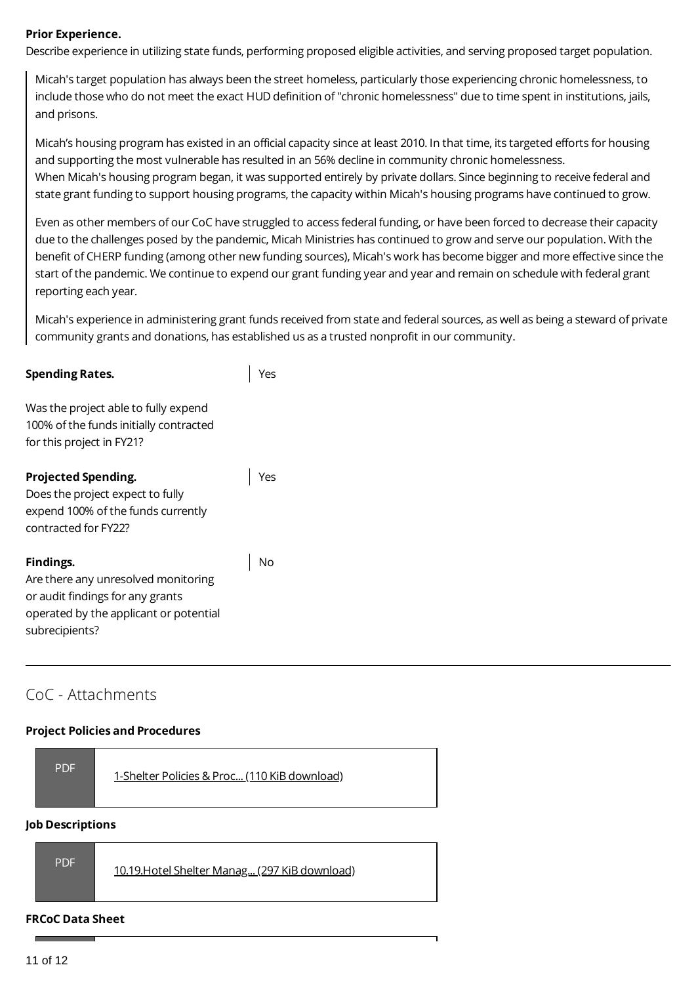#### **Prior Experience.**

Describe experience in utilizing state funds, performing proposed eligible activities, and serving proposed target population.

Micah's target population has always been the street homeless, particularly those experiencing chronic homelessness, to include those who do not meet the exact HUD definition of "chronic homelessness" due to time spent in institutions, jails, and prisons.

Micah's housing program has existed in an official capacity since at least 2010. In that time, its targeted efforts for housing and supporting the most vulnerable has resulted in an 56% decline in community chronic homelessness. When Micah's housing program began, it was supported entirely by private dollars. Since beginning to receive federal and state grant funding to support housing programs, the capacity within Micah's housing programs have continued to grow.

Even as other members of our CoC have struggled to access federal funding, or have been forced to decrease their capacity due to the challenges posed by the pandemic, Micah Ministries has continued to grow and serve our population. With the benefit of CHERP funding (among other new funding sources), Micah's work has become bigger and more effective since the start of the pandemic. We continue to expend our grant funding year and year and remain on schedule with federal grant reporting each year.

Micah's experience in administering grant funds received from state and federal sources, as well as being a steward of private community grants and donations, has established us as a trusted nonprofit in our community.

#### **Spending Rates.**

Yes

Was the project able to fully expend 100% of the funds initially contracted for this project in FY21?

#### **Projected Spending.**

Yes

Does the project expect to fully expend 100% of the funds currently contracted for FY22?

#### **Findings.**

No

Are there any unresolved monitoring or audit findings for any grants operated by the applicant or potential subrecipients?

# CoC - Attachments

#### **Project Policies and Procedures**

| <b>PDF</b> | 1-Shelter Policies & Proc (110 KiB download) |
|------------|----------------------------------------------|
|------------|----------------------------------------------|

#### **Job Descriptions**

|--|

#### **FRCoC Data Sheet**